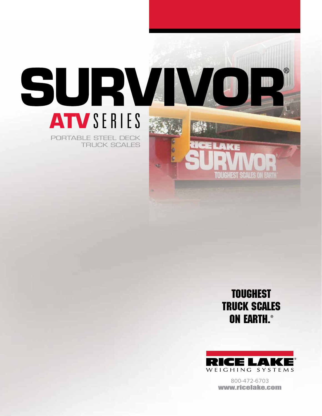

### **TOUGHEST** TRUCK SCALES ON EARTH.®



800-472-6703 www.ricelake.com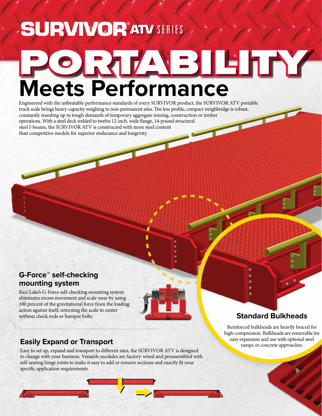### **SURVIVOR<sup>®</sup>ATV SERIES**

# **Meets Performance** PORTABILITY

Engineered with the unbeatable performance standards of every SURVIVOR product, the SURVIVOR ATV portable truck scale brings heavy-capacity weighing to non-permanent sites. The low profile, compact weighbridge is robust, constantly standing up to tough demands of temporary aggregate mining, construction or timber operations. With a steel deck welded to twelve 12-inch, wide flange, 14-pound structural steel I-beams, the SURVIVOR ATV is constructed with more steel content than competitive models for superior endurance and longevity.

#### **G-Force™ self-checking mounting system**

Rice Lake's G-Force self-checking mounting system eliminates excess movement and scale wear by using 100 percent of the gravitational force from the loading action against itself, returning the scale to center without check rods or bumper bolts.

#### **Easily Expand or Transport**

Easy to set up, expand and transport to different sites, the SURVIVOR ATV is designed to change with your business. Versatile modules are factory-wired and preassembled with self-seating hinge joints to make it easy to add or remove sections and exactly fit your specific application requirements.

#### **Standard Bulkheads**

Reinforced bulkheads are heavily braced for high-compression. Bulkheads are removable for easy expansion and use with optional steel ramps or concrete approaches.

é

é,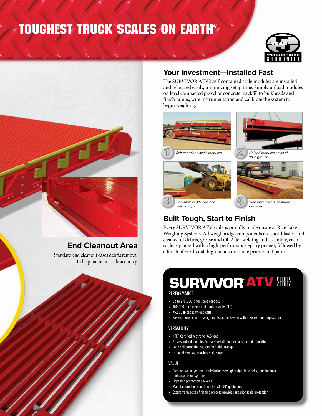### TOUGHEST TRUCK SCALES ON EARTH®





#### **End Cleanout Area**

Standard end cleanout eases debris removal to help maintain scale accuracy.



#### **Your Investment—Installed Fast**

The SURVIVOR ATV's self-contained scale modules are installed and relocated easily, minimizing setup time. Simply unload modules on level compacted gravel or concrete, backfill to bulkheads and finish ramps, wire instrumentation and calibrate the system to begin weighing.



#### **Built Tough, Start to Finish**

Every SURVIVOR ATV scale is proudly made onsite at Rice Lake Weighing Systems. All weighbridge components are shot-blasted and cleaned of debris, grease and oil. After welding and assembly, each scale is painted with a high-performance epoxy primer, followed by a finish of hard-coat, high-solids urethane primer and paint.

### **SURVIVOR®ATV SERIES**

#### **PERFORMANCE**

- Up to 270,000 lb full scale capacity
- 100,000 lb concentrated load capacity (CLC)
- 75,000 lb capacity load cells
- Faster, more accurate weighments and less wear with G-Force mounting system

#### **VERSATILITY**

- NTEP Certified widths to 16.5 feet
- Preassembled modules for easy installation, expansion and relocation
- Load cell protection system for stable transport
- Optional steel approaches and ramps

#### **VALUE**

- Five- or twelve-year warranty includes weighbridge, load cells, junction boxes and suspension systems
- Lightning protection package
- Manufactured in accordance to ISO 9001 guidelines
- Extensive five-step finishing process provides superior scale protection